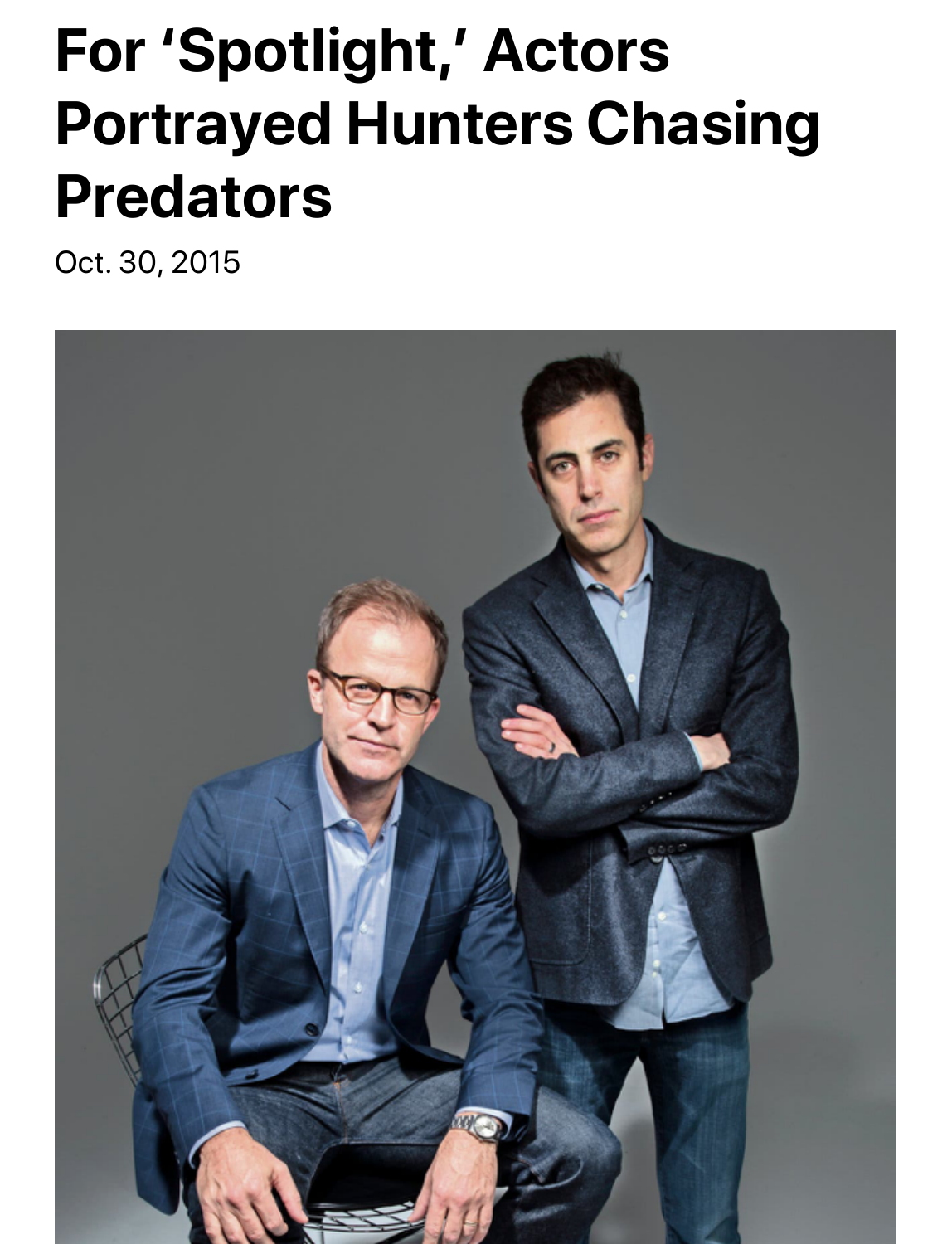## **For 'Spotlight,' Actors Portrayed Hunters Chasing Predators**

Oct. 30, 2015

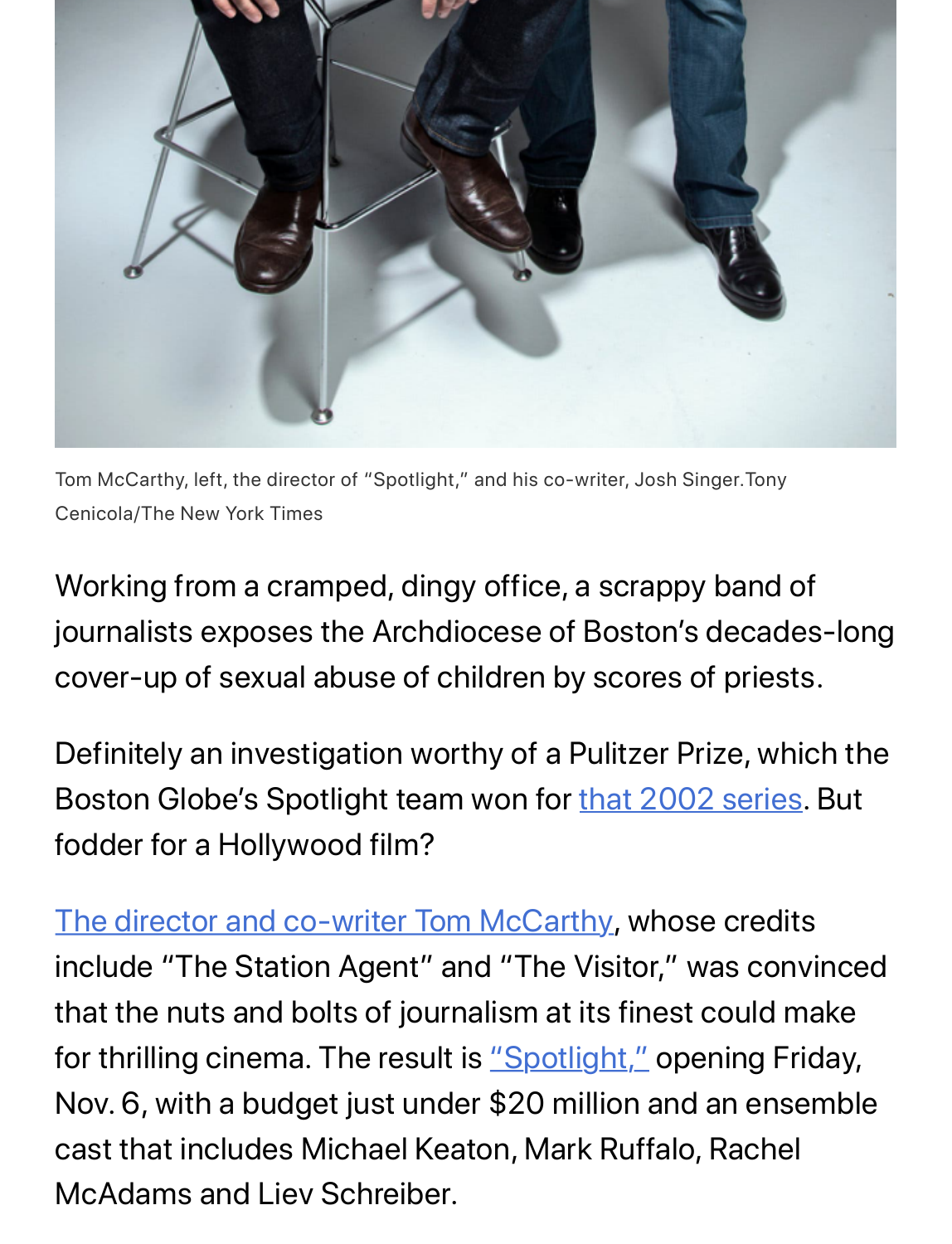

Tom McCarthy, left, the director of "Spotlight," and his co-writer, Josh Singer.Tony Cenicola/The New York Times

Working from a cramped, dingy office, a scrappy band of journalists exposes the Archdiocese of Boston's decades-long cover-up of sexual abuse of children by scores of priests.

Definitely an investigation worthy of a [Pulitzer Prize, whi](http://www.bostonglobe.com/news/special-reports/2002/01/06/church-allowed-abuse-priest-for-years/cSHfGkTIrAT25qKGvBuDNM/story.html)ch the Boston Globe's Spotlight team won for that 2002 series. But [fodder for a Hollywood film?](http://www.nytimes.com/video/movies/100000000730792/tom-mccarthy.html)

The director and co-writer Tom McCarthy, whose credits include "The Station Agent" and "The Visitor," was convinced that the nuts and bolts of journa[lism at its fin](https://www.youtube.com/watch?v=56jw6tasomc)est could make for thrilling cinema. The result is "Spotlight," opening Friday, Nov. 6, with a budget just under \$20 million and an ensemble cast that includes Michael Keaton, Mark Ruffalo, Rachel McAdams and Liev Schreiber.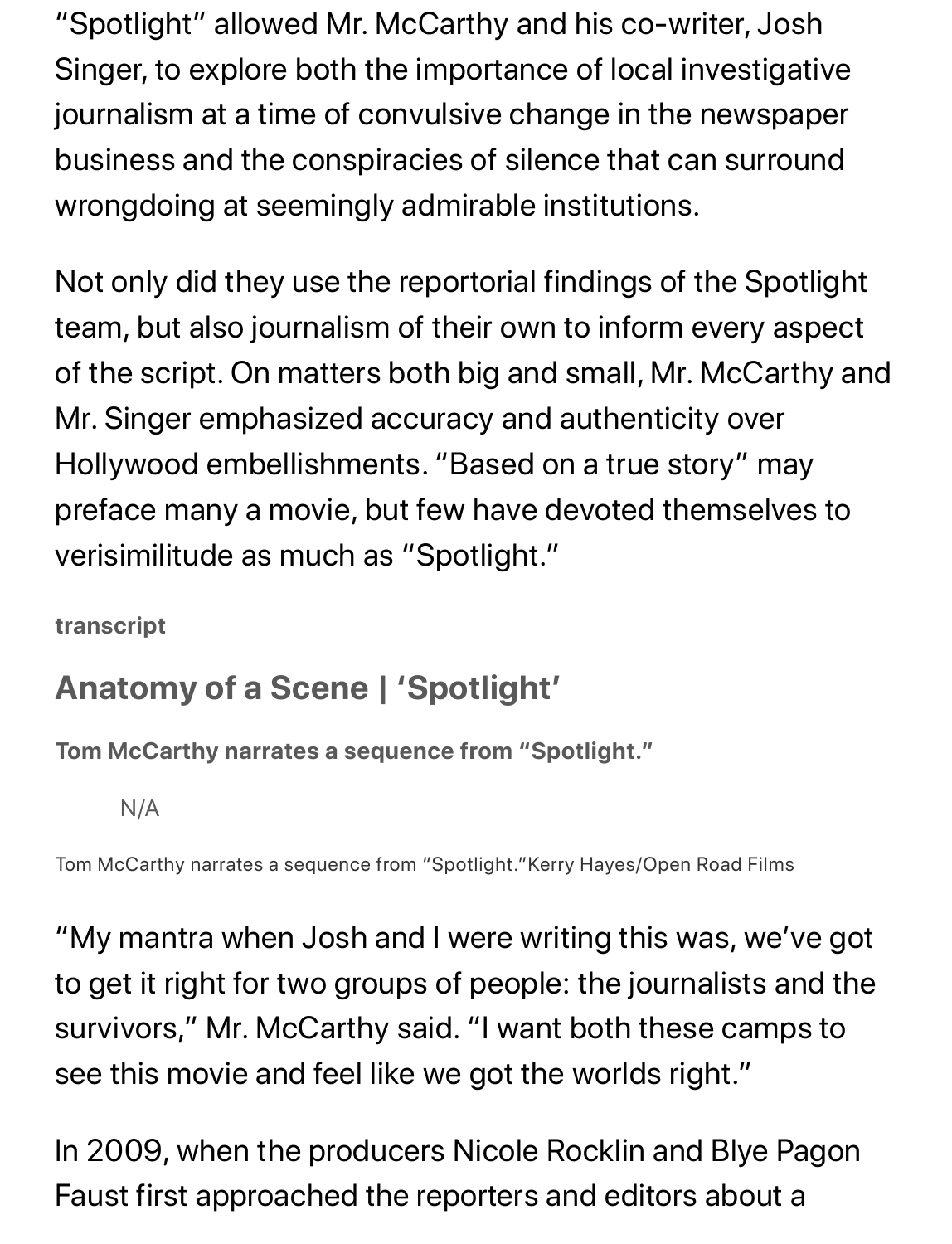"Spotlight" allowed Mr. McCarthy and his co-writer, Josh Singer, to explore both the importance of local investigative journalism at a time of convulsive change in the newspaper business and the conspiracies of silence that can surround wrongdoing at seemingly admirable institutions.

Not only did they use the reportorial findings of the Spotlight team, but also journalism of their own to inform every aspect of the script. On matters both big and small, Mr. McCarthy and Mr. Singer emphasized accuracy and authenticity over Hollywood embellishments. "Based on a true story" may preface many a movie, but few have devoted themselves to verisimilitude as much as "Spotlight."

**transcript**

## **Anatomy of a Scene | 'Spotlight'**

**Tom McCarthy narrates a sequence from "Spotlight."**

N/A

Tom McCarthy narrates a sequence from "Spotlight."Kerry Hayes/Open Road Films

"My mantra when Josh and I were writing this was, we've got to get it right for two groups of people: the journalists and the survivors," Mr. McCarthy said. "I want both these camps to see this movie and feel like we got the worlds right."

In 2009, when the producers Nicole Rocklin and Blye Pagon Faust first approached the reporters and editors about a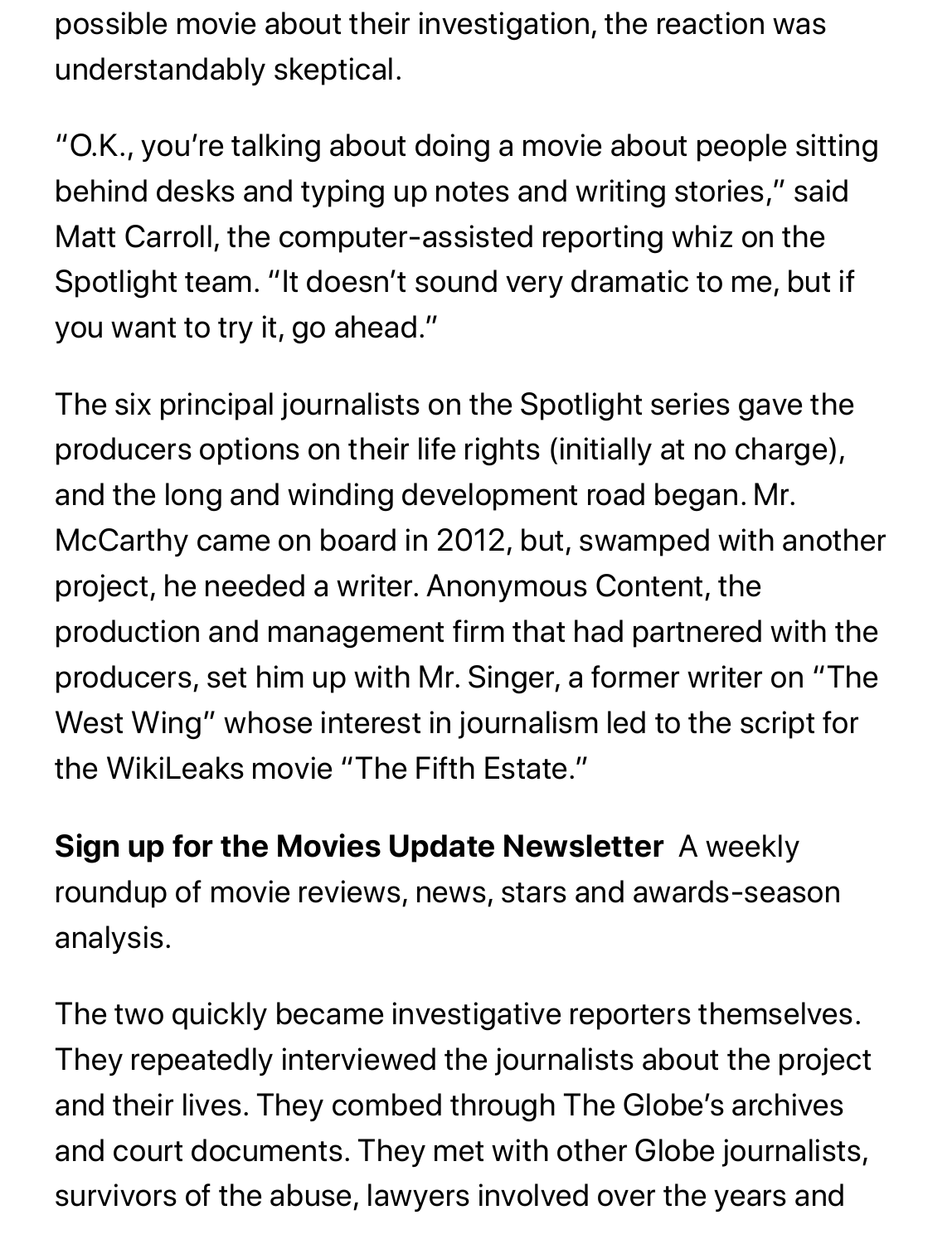possible movie about their investigation, the reaction was understandably skeptical.

"O.K., you're talking about doing a movie about people sitting behind desks and typing up notes and writing stories," said Matt Carroll, the computer-assisted reporting whiz on the Spotlight team. "It doesn't sound very dramatic to me, but if you want to try it, go ahead."

The six principal journalists on the Spotlight series gave the producers options on their life rights (initially at no charge), and the long and winding development road began. Mr. McCarthy came on board in 2012, but, swamped with another project, he needed a writer. Anonymous Content, the production and management firm that had partnered with the producers, set him up with Mr. Singer, a former writer on "The West Wing" whose interest in journalism led to the script for the WikiLeaks movie "The Fifth Estate."

**Sign up for the Movies Update Newsletter** A weekly roundup of movie reviews, news, stars and awards-season analysis.

The two quickly became investigative reporters themselves. They repeatedly interviewed the journalists about the project and their lives. They combed through The Globe's archives and court documents. They met with other Globe journalists, survivors of the abuse, lawyers involved over the years and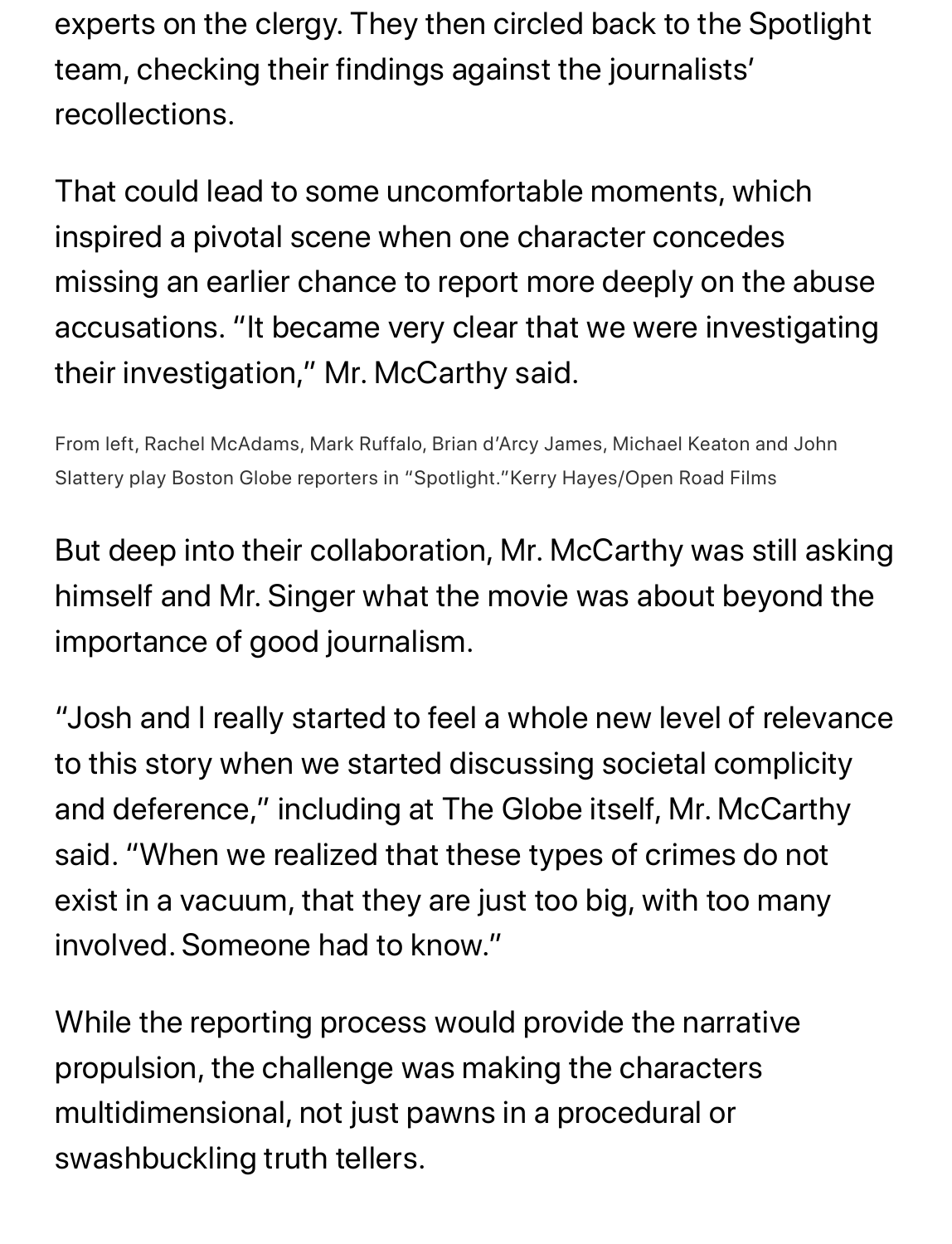experts on the clergy. They then circled back to the Spotlight team, checking their findings against the journalists' recollections.

That could lead to some uncomfortable moments, which inspired a pivotal scene when one character concedes missing an earlier chance to report more deeply on the abuse accusations. "It became very clear that we were investigating their investigation," Mr. McCarthy said.

From left, Rachel McAdams, Mark Ruffalo, Brian d'Arcy James, Michael Keaton and John Slattery play Boston Globe reporters in "Spotlight."Kerry Hayes/Open Road Films

But deep into their collaboration, Mr. McCarthy was still asking himself and Mr. Singer what the movie was about beyond the importance of good journalism.

"Josh and I really started to feel a whole new level of relevance to this story when we started discussing societal complicity and deference," including at The Globe itself, Mr. McCarthy said. "When we realized that these types of crimes do not exist in a vacuum, that they are just too big, with too many involved. Someone had to know."

While the reporting process would provide the narrative propulsion, the challenge was making the characters multidimensional, not just pawns in a procedural or swashbuckling truth tellers.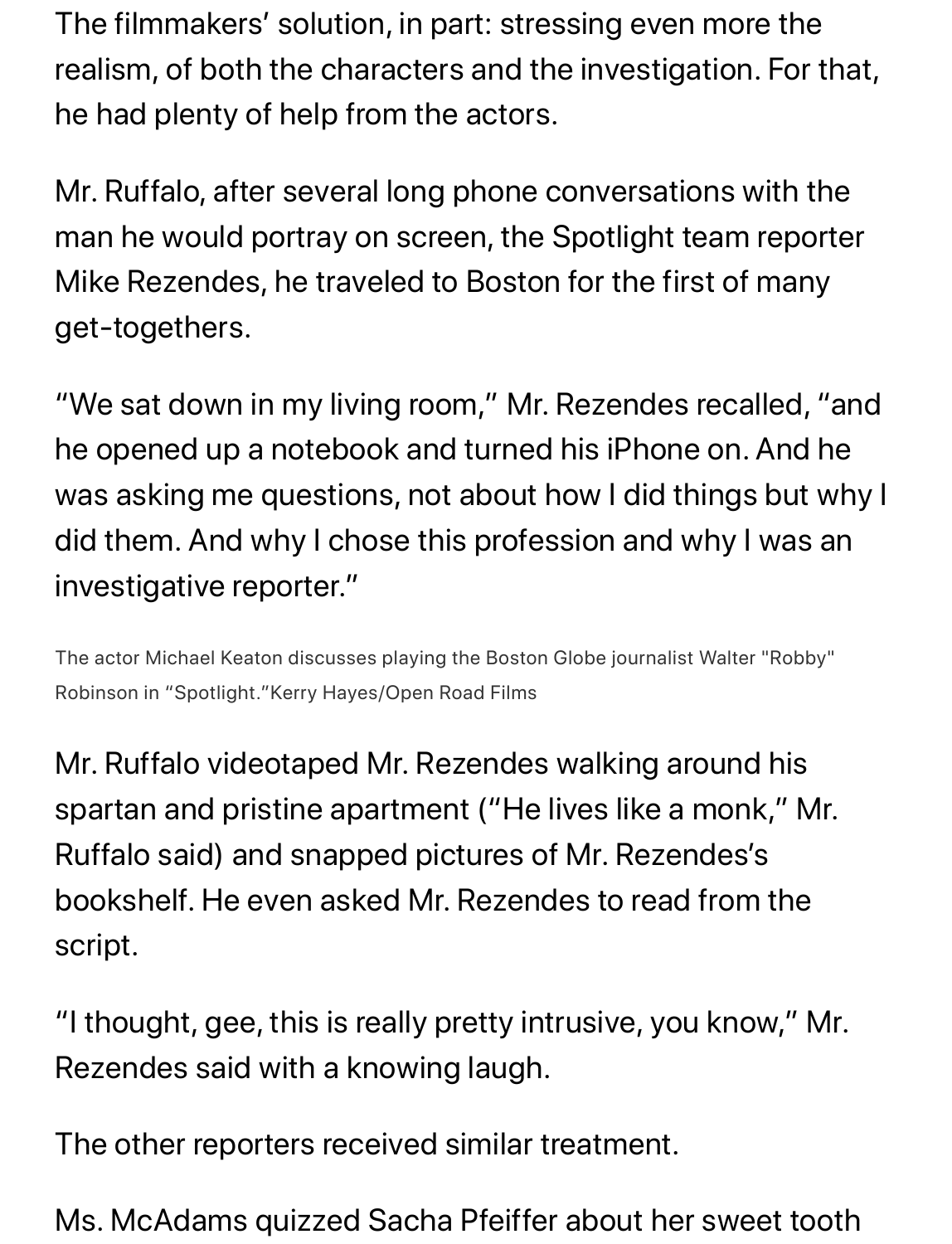The filmmakers' solution, in part: stressing even more the realism, of both the characters and the investigation. For that, he had plenty of help from the actors.

Mr. Ruffalo, after several long phone conversations with the man he would portray on screen, the Spotlight team reporter Mike Rezendes, he traveled to Boston for the first of many get-togethers.

"We sat down in my living room," Mr. Rezendes recalled, "and he opened up a notebook and turned his iPhone on. And he was asking me questions, not about how I did things but why I did them. And why I chose this profession and why I was an investigative reporter."

The actor Michael Keaton discusses playing the Boston Globe journalist Walter "Robby" Robinson in "Spotlight."Kerry Hayes/Open Road Films

Mr. Ruffalo videotaped Mr. Rezendes walking around his spartan and pristine apartment ("He lives like a monk," Mr. Ruffalo said) and snapped pictures of Mr. Rezendes's bookshelf. He even asked Mr. Rezendes to read from the script.

"I thought, gee, this is really pretty intrusive, you know," Mr. Rezendes said with a knowing laugh.

The other reporters received similar treatment.

Ms. McAdams quizzed Sacha Pfeiffer about her sweet tooth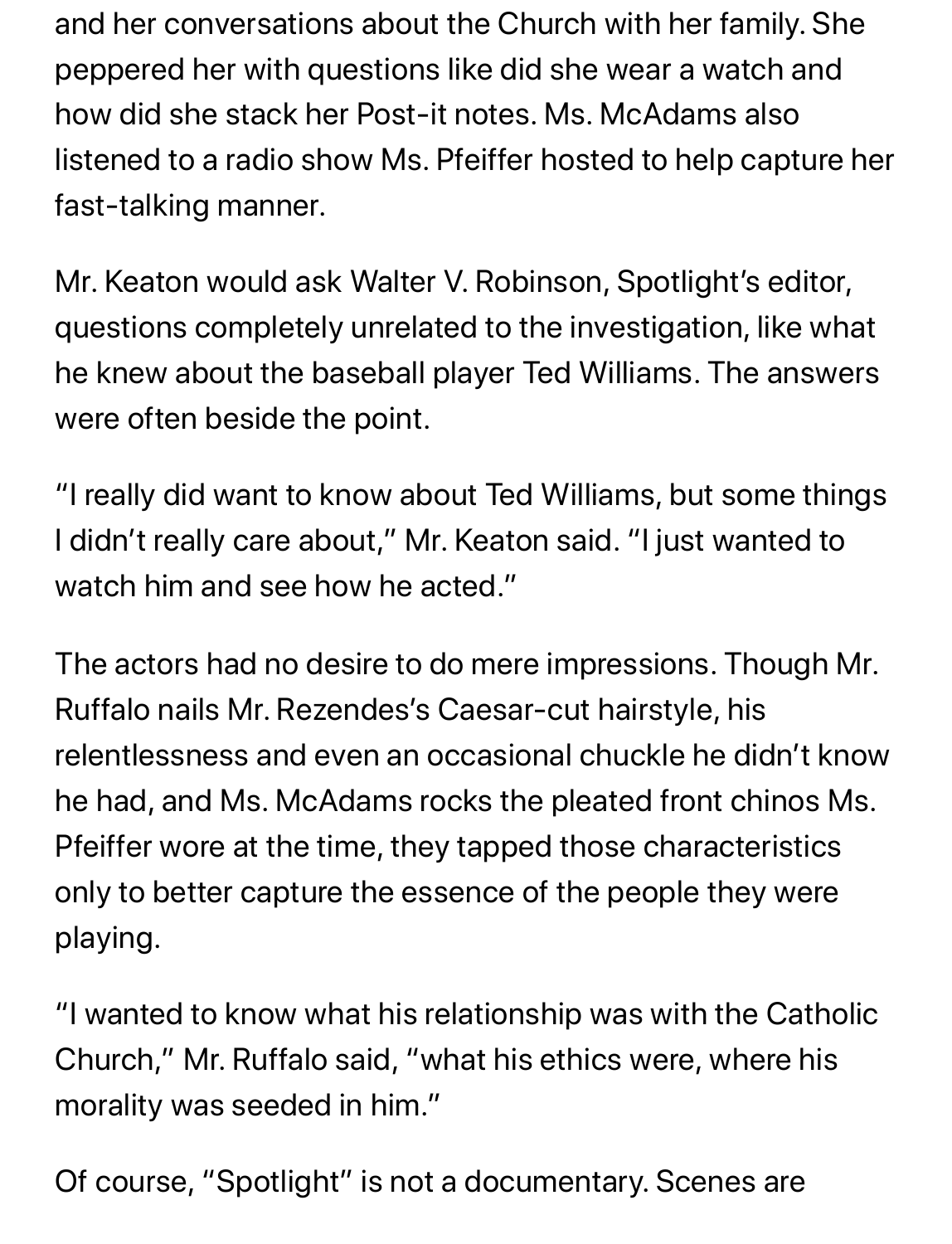and her conversations about the Church with her family. She peppered her with questions like did she wear a watch and how did she stack her Post-it notes. Ms. McAdams also listened to a radio show Ms. Pfeiffer hosted to help capture her fast-talking manner.

Mr. Keaton would ask Walter V. Robinson, Spotlight's editor, questions completely unrelated to the investigation, like what he knew about the baseball player Ted Williams. The answers were often beside the point.

"I really did want to know about Ted Williams, but some things I didn't really care about," Mr. Keaton said. "I just wanted to watch him and see how he acted."

The actors had no desire to do mere impressions. Though Mr. Ruffalo nails Mr. Rezendes's Caesar-cut hairstyle, his relentlessness and even an occasional chuckle he didn't know he had, and Ms. McAdams rocks the pleated front chinos Ms. Pfeiffer wore at the time, they tapped those characteristics only to better capture the essence of the people they were playing.

"I wanted to know what his relationship was with the Catholic Church," Mr. Ruffalo said, "what his ethics were, where his morality was seeded in him."

Of course, "Spotlight" is not a documentary. Scenes are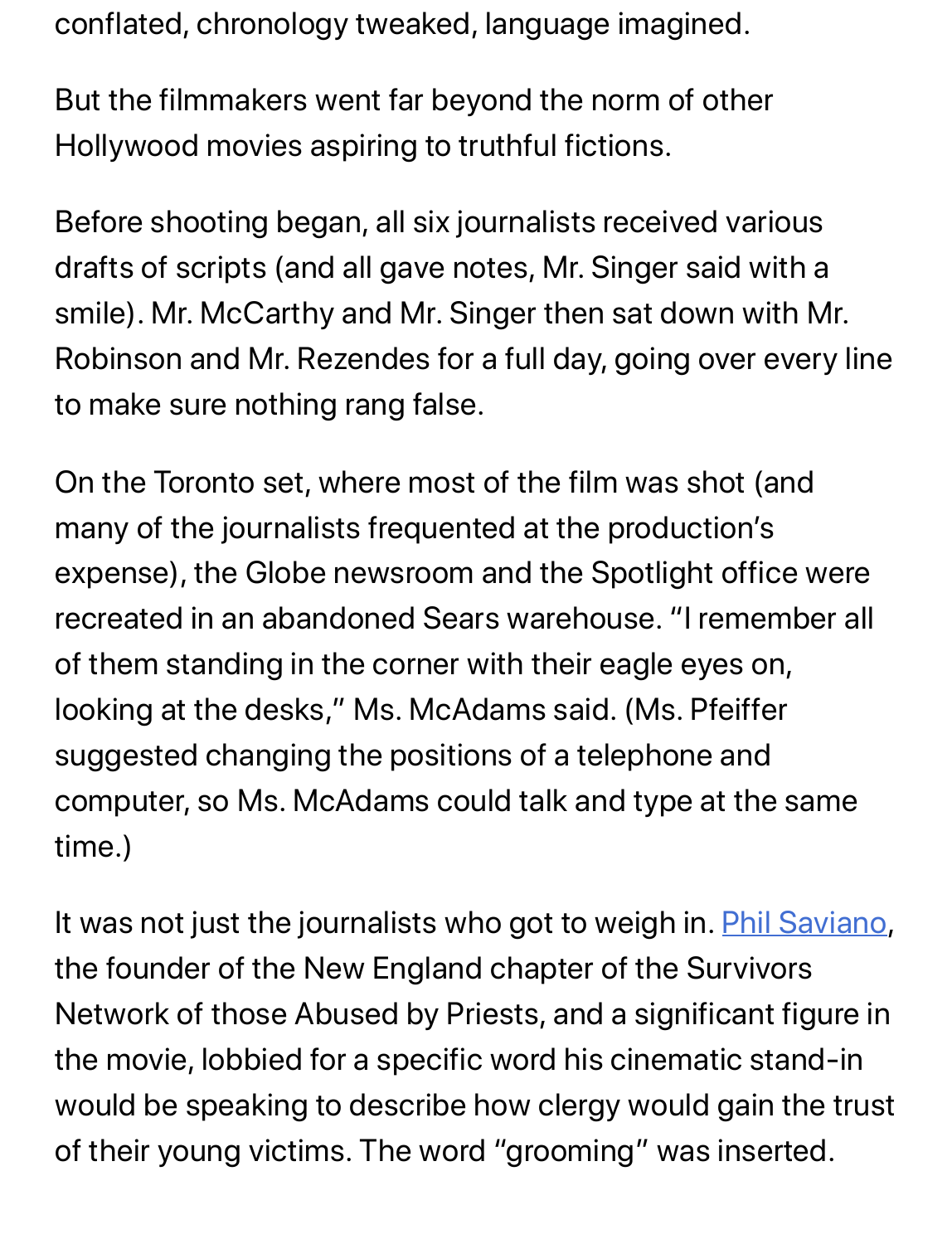conflated, chronology tweaked, language imagined.

But the filmmakers went far beyond the norm of other Hollywood movies aspiring to truthful fictions.

Before shooting began, all six journalists received various drafts of scripts (and all gave notes, Mr. Singer said with a smile). Mr. McCarthy and Mr. Singer then sat down with Mr. Robinson and Mr. Rezendes for a full day, going over every line to make sure nothing rang false.

On the Toronto set, where most of the film was shot (and many of the journalists frequented at the production's expense), the Globe newsroom and the Spotlight office were recreated in an abandoned Sears warehouse. "I remember all of them standing in the corner with their eagle eyes on, looking at the desks," Ms. McAdams said. (Ms. Pfeiffer suggested changing the positions of a telephone and computer, so Ms. McAdams could talk and type at the same time.)

It was not just the journalists who got to weigh in. **Phil Saviano**, the founder of the New England chapter of the Survivors Network of those Abused by Priests, and a significant figure in the movie, lobbied for a specific word his cinematic stand-in would be speaking to describe how clergy would gain the trust of their young victims. The word "grooming" was inserted.